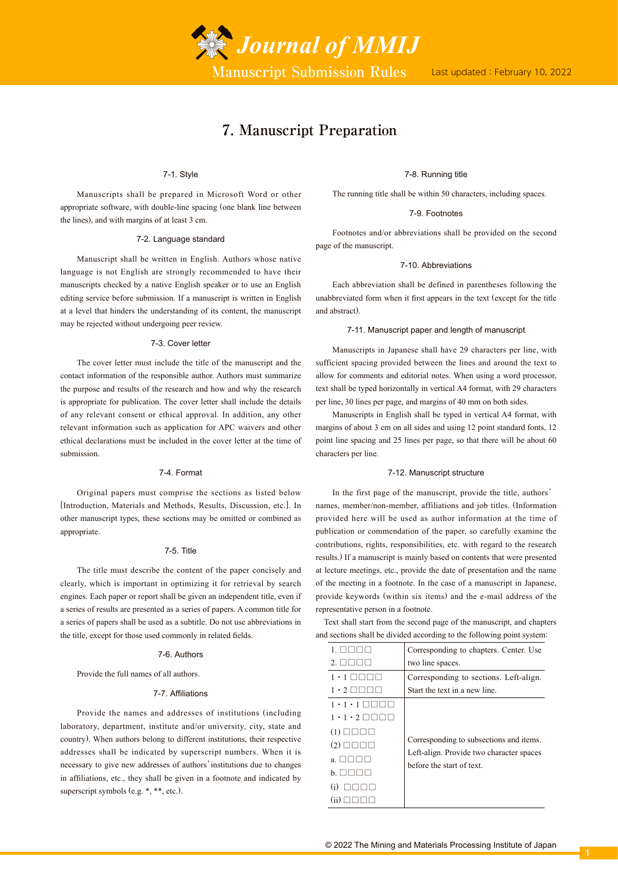

# **7. Manuscript Preparation**

## 7-1. Style

Manuscripts shall be prepared in Microsoft Word or other appropriate software, with double-line spacing (one blank line between the lines), and with margins of at least 3 cm.

#### 7-2. Language standard

Manuscript shall be written in English. Authors whose native language is not English are strongly recommended to have their manuscripts checked by a native English speaker or to use an English editing service before submission. If a manuscript is written in English at a level that hinders the understanding of its content, the manuscript may be rejected without undergoing peer review.

#### 7-3. Cover letter

The cover letter must include the title of the manuscript and the contact information of the responsible author. Authors must summarize the purpose and results of the research and how and why the research is appropriate for publication. The cover letter shall include the details of any relevant consent or ethical approval. In addition, any other relevant information such as application for APC waivers and other ethical declarations must be included in the cover letter at the time of submission.

# 7-4. Format

Original papers must comprise the sections as listed below [Introduction, Materials and Methods, Results, Discussion, etc.]. In other manuscript types, these sections may be omitted or combined as appropriate.

#### 7-5. Title

The title must describe the content of the paper concisely and clearly, which is important in optimizing it for retrieval by search engines. Each paper or report shall be given an independent title, even if a series of results are presented as a series of papers. A common title for a series of papers shall be used as a subtitle. Do not use abbreviations in the title, except for those used commonly in related fields.

## 7-6. Authors

Provide the full names of all authors.

## 7-7. Affiliations

Provide the names and addresses of institutions (including laboratory, department, institute and/or university, city, state and country). When authors belong to different institutions, their respective addresses shall be indicated by superscript numbers. When it is necessary to give new addresses of authors'institutions due to changes in affiliations, etc., they shall be given in a footnote and indicated by superscript symbols (e.g. \*, \*\*, etc.).

## 7-8. Running title

The running title shall be within 50 characters, including spaces.

## 7-9. Footnotes

Footnotes and/or abbreviations shall be provided on the second page of the manuscript.

#### 7-10. Abbreviations

Each abbreviation shall be defined in parentheses following the unabbreviated form when it first appears in the text (except for the title and abstract).

#### 7-11. Manuscript paper and length of manuscript

Manuscripts in Japanese shall have 29 characters per line, with sufficient spacing provided between the lines and around the text to allow for comments and editorial notes. When using a word processor, text shall be typed horizontally in vertical A4 format, with 29 characters per line, 30 lines per page, and margins of 40 mm on both sides.

Manuscripts in English shall be typed in vertical A4 format, with margins of about 3 cm on all sides and using 12 point standard fonts, 12 point line spacing and 25 lines per page, so that there will be about 60 characters per line.

## 7-12. Manuscript structure

In the first page of the manuscript, provide the title, authors' names, member/non-member, affiliations and job titles. (Information provided here will be used as author information at the time of publication or commendation of the paper, so carefully examine the contributions, rights, responsibilities, etc. with regard to the research results.) If a manuscript is mainly based on contents that were presented at lecture meetings, etc., provide the date of presentation and the name of the meeting in a footnote. In the case of a manuscript in Japanese, provide keywords (within six items) and the e-mail address of the representative person in a footnote.

Text shall start from the second page of the manuscript, and chapters and sections shall be divided according to the following point system:

|                                     | Corresponding to chapters. Center. Use                                                                           |
|-------------------------------------|------------------------------------------------------------------------------------------------------------------|
|                                     | two line spaces.                                                                                                 |
| $\cdot$ 1<br>.                      | Corresponding to sections. Left-align.                                                                           |
| $1 \cdot 2$ $\Box$ $\Box$           | Start the text in a new line.                                                                                    |
| $1 \cdot 1 \cdot 1$ $\Box$ $\Box$   |                                                                                                                  |
| $1 \cdot 1 \cdot 2 \square \square$ |                                                                                                                  |
| $(1)$ $\Box$ $\Box$ $\Box$          | Corresponding to subsections and items.<br>Left-align. Provide two character spaces<br>before the start of text. |
| $(2)$ $\Box$ $\Box$ $\Box$          |                                                                                                                  |
| a ⊟⊟⊟                               |                                                                                                                  |
| <b>b</b>                            |                                                                                                                  |
|                                     |                                                                                                                  |
|                                     |                                                                                                                  |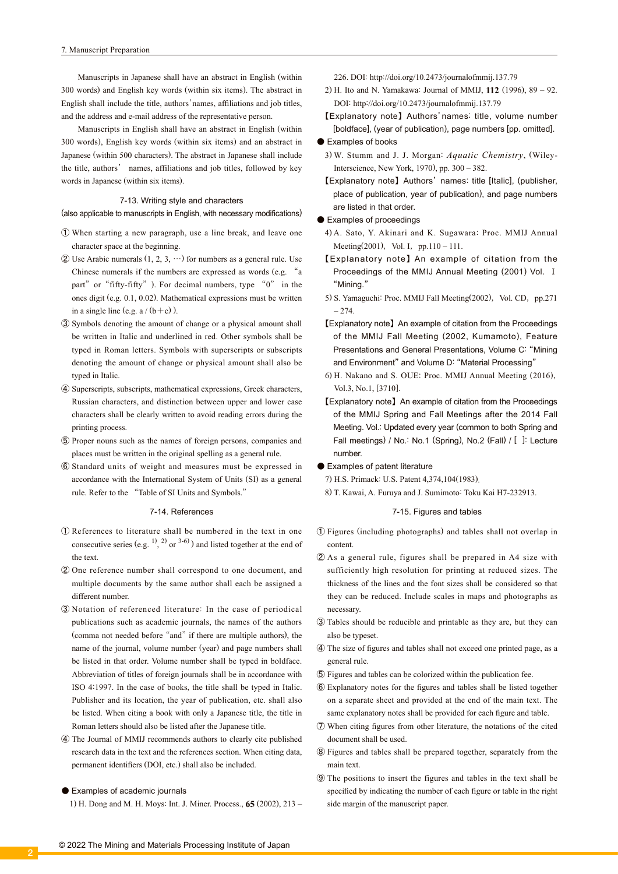Manuscripts in Japanese shall have an abstract in English (within 300 words) and English key words (within six items). The abstract in English shall include the title, authors'names, affiliations and job titles, and the address and e-mail address of the representative person.

Manuscripts in English shall have an abstract in English (within 300 words), English key words (within six items) and an abstract in Japanese (within 500 characters). The abstract in Japanese shall include the title, authors' names, affiliations and job titles, followed by key words in Japanese (within six items).

## 7-13. Writing style and characters

(also applicable to manuscripts in English, with necessary modifications)

- ① When starting a new paragraph, use a line break, and leave one character space at the beginning.
- $\ddot{Q}$  Use Arabic numerals  $(1, 2, 3, \cdots)$  for numbers as a general rule. Use Chinese numerals if the numbers are expressed as words (e.g. "a part" or "fifty-fifty"). For decimal numbers, type  $"0"$  in the ones digit (e.g. 0.1, 0.02). Mathematical expressions must be written in a single line (e.g.  $a / (b + c)$ ).
- ③ Symbols denoting the amount of change or a physical amount shall be written in Italic and underlined in red. Other symbols shall be typed in Roman letters. Symbols with superscripts or subscripts denoting the amount of change or physical amount shall also be typed in Italic.
- ④ Superscripts, subscripts, mathematical expressions, Greek characters, Russian characters, and distinction between upper and lower case characters shall be clearly written to avoid reading errors during the printing process.
- ⑤ Proper nouns such as the names of foreign persons, companies and places must be written in the original spelling as a general rule.
- ⑥ Standard units of weight and measures must be expressed in accordance with the International System of Units (SI) as a general rule. Refer to the "Table of SI Units and Symbols."

#### 7-14. References

- ① References to literature shall be numbered in the text in one consecutive series (e.g.  $^{1)}$ ,  $^{2)}$  or  $^{3-6)}$ ) and listed together at the end of the text.
- ② One reference number shall correspond to one document, and multiple documents by the same author shall each be assigned a different number.
- ③ Notation of referenced literature: In the case of periodical publications such as academic journals, the names of the authors (comma not needed before "and" if there are multiple authors), the name of the journal, volume number (year) and page numbers shall be listed in that order. Volume number shall be typed in boldface. Abbreviation of titles of foreign journals shall be in accordance with ISO 4:1997. In the case of books, the title shall be typed in Italic. Publisher and its location, the year of publication, etc. shall also be listed. When citing a book with only a Japanese title, the title in Roman letters should also be listed after the Japanese title.
- ④ The Journal of MMIJ recommends authors to clearly cite published research data in the text and the references section. When citing data, permanent identifiers (DOI, etc.) shall also be included.

#### ● Examples of academic journals

1) H. Dong and M. H. Moys: Int. J. Miner. Process., **65** (2002), 213 –

- 2) H. Ito and N. Yamakawa: Journal of MMIJ, **112** (1996), 89 92. DOI: http://doi.org/10.2473/journalofmmij.137.79
- 【Explanatory note】Authors'names: title, volume number [boldface], (year of publication), page numbers [pp. omitted].

#### ● Examples of books

- 3) W. Stumm and J. J. Morgan: *Aquatic Chemistry*, (Wiley-Interscience, New York, 1970), pp. 300 – 382.
- 【Explanatory note】Authors' names: title [Italic], (publisher, place of publication, year of publication), and page numbers are listed in that order.
- Examples of proceedings
- 4) A. Sato, Y. Akinari and K. Sugawara: Proc. MMIJ Annual Meeting(2001), Vol. I,  $pp.110 - 111$ .
- 【Explanatory note】 An example of citation from the Proceedings of the MMIJ Annual Meeting (2001) Vol. Ⅰ "Mining."
- 5) S. Yamaguchi: Proc. MMIJ Fall Meeting(2002), Vol. CD, pp.271 – 274.
- 【Explanatory note】An example of citation from the Proceedings of the MMIJ Fall Meeting (2002, Kumamoto), Feature Presentations and General Presentations, Volume C: "Mining and Environment" and Volume D: "Material Processing"
- 6) H. Nakano and S. OUE: Proc. MMIJ Annual Meeting (2016), Vol.3, No.1, [3710].
- 【Explanatory note】An example of citation from the Proceedings of the MMIJ Spring and Fall Meetings after the 2014 Fall Meeting. Vol.: Updated every year (common to both Spring and Fall meetings) / No.: No.1 (Spring), No.2 (Fall) / [ ]: Lecture number.
- Examples of patent literature

7) H.S. Primack: U.S. Patent 4,374,104(1983).

8) T. Kawai, A. Furuya and J. Sumimoto: Toku Kai H7-232913.

## 7-15. Figures and tables

- ① Figures (including photographs) and tables shall not overlap in content.
- ② As a general rule, figures shall be prepared in A4 size with sufficiently high resolution for printing at reduced sizes. The thickness of the lines and the font sizes shall be considered so that they can be reduced. Include scales in maps and photographs as necessary.
- ③ Tables should be reducible and printable as they are, but they can also be typeset.
- ④ The size of figures and tables shall not exceed one printed page, as a general rule.
- ⑤ Figures and tables can be colorized within the publication fee.
- ⑥ Explanatory notes for the figures and tables shall be listed together on a separate sheet and provided at the end of the main text. The same explanatory notes shall be provided for each figure and table.
- ⑦ When citing figures from other literature, the notations of the cited document shall be used.
- ⑧ Figures and tables shall be prepared together, separately from the main text.
- ⑨ The positions to insert the figures and tables in the text shall be specified by indicating the number of each figure or table in the right side margin of the manuscript paper.

<sup>226.</sup> DOI: http://doi.org/10.2473/journalofmmij.137.79